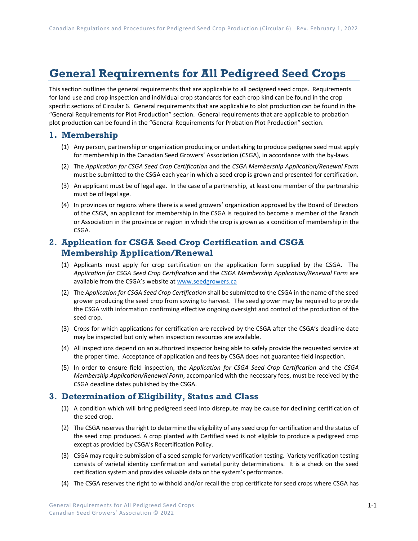# **General Requirements for All Pedigreed Seed Crops**

This section outlines the general requirements that are applicable to all pedigreed seed crops. Requirements for land use and crop inspection and individual crop standards for each crop kind can be found in the crop specific sections of Circular 6. General requirements that are applicable to plot production can be found in the "General Requirements for Plot Production" section. General requirements that are applicable to probation plot production can be found in the "General Requirements for Probation Plot Production" section.

## **1. Membership**

- (1) Any person, partnership or organization producing or undertaking to produce pedigree seed must apply for membership in the Canadian Seed Growers' Association (CSGA), in accordance with the by-laws.
- (2) The *Application for CSGA Seed Crop Certification* and the *CSGA Membership Application/Renewal Form* must be submitted to the CSGA each year in which a seed crop is grown and presented for certification.
- (3) An applicant must be of legal age. In the case of a partnership, at least one member of the partnership must be of legal age.
- (4) In provinces or regions where there is a seed growers' organization approved by the Board of Directors of the CSGA, an applicant for membership in the CSGA is required to become a member of the Branch or Association in the province or region in which the crop is grown as a condition of membership in the CSGA.

# **2. Application for CSGA Seed Crop Certification and CSGA Membership Application/Renewal**

- (1) Applicants must apply for crop certification on the application form supplied by the CSGA. The *Application for CSGA Seed Crop Certification* and the *CSGA Membership Application/Renewal Form* are available from the CSGA's website a[t www.seedgrowers.ca](http://www.seedgrowers.ca/)
- (2) The *Application for CSGA Seed Crop Certification* shall be submitted to the CSGA in the name of the seed grower producing the seed crop from sowing to harvest. The seed grower may be required to provide the CSGA with information confirming effective ongoing oversight and control of the production of the seed crop.
- (3) Crops for which applications for certification are received by the CSGA after the CSGA's deadline date may be inspected but only when inspection resources are available.
- (4) All inspections depend on an authorized inspector being able to safely provide the requested service at the proper time. Acceptance of application and fees by CSGA does not guarantee field inspection.
- (5) In order to ensure field inspection, the *Application for CSGA Seed Crop Certification* and the *CSGA Membership Application/Renewal Form*, accompanied with the necessary fees, must be received by the CSGA deadline dates published by the CSGA.

## **3. Determination of Eligibility, Status and Class**

- (1) A condition which will bring pedigreed seed into disrepute may be cause for declining certification of the seed crop.
- (2) The CSGA reserves the right to determine the eligibility of any seed crop for certification and the status of the seed crop produced. A crop planted with Certified seed is not eligible to produce a pedigreed crop except as provided by CSGA's Recertification Policy.
- (3) CSGA may require submission of a seed sample for variety verification testing. Variety verification testing consists of varietal identity confirmation and varietal purity determinations. It is a check on the seed certification system and provides valuable data on the system's performance.
- (4) The CSGA reserves the right to withhold and/or recall the crop certificate for seed crops where CSGA has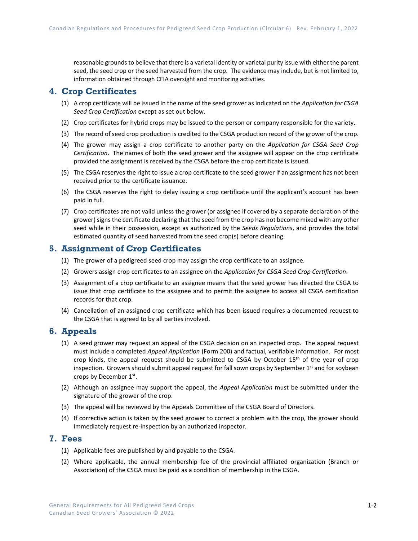reasonable grounds to believe that there is a varietal identity or varietal purity issue with either the parent seed, the seed crop or the seed harvested from the crop. The evidence may include, but is not limited to, information obtained through CFIA oversight and monitoring activities.

## **4. Crop Certificates**

- (1) A crop certificate will be issued in the name of the seed grower as indicated on the *Application for CSGA Seed Crop Certification* except as set out below.
- (2) Crop certificates for hybrid crops may be issued to the person or company responsible for the variety.
- (3) The record of seed crop production is credited to the CSGA production record of the grower of the crop.
- (4) The grower may assign a crop certificate to another party on the *Application for CSGA Seed Crop Certification*. The names of both the seed grower and the assignee will appear on the crop certificate provided the assignment is received by the CSGA before the crop certificate is issued.
- (5) The CSGA reserves the right to issue a crop certificate to the seed grower if an assignment has not been received prior to the certificate issuance.
- (6) The CSGA reserves the right to delay issuing a crop certificate until the applicant's account has been paid in full.
- (7) Crop certificates are not valid unless the grower (or assignee if covered by a separate declaration of the grower) signs the certificate declaring that the seed from the crop has not become mixed with any other seed while in their possession, except as authorized by the *Seeds Regulations*, and provides the total estimated quantity of seed harvested from the seed crop(s) before cleaning.

## **5. Assignment of Crop Certificates**

- (1) The grower of a pedigreed seed crop may assign the crop certificate to an assignee.
- (2) Growers assign crop certificates to an assignee on the *Application for CSGA Seed Crop Certification*.
- (3) Assignment of a crop certificate to an assignee means that the seed grower has directed the CSGA to issue that crop certificate to the assignee and to permit the assignee to access all CSGA certification records for that crop.
- (4) Cancellation of an assigned crop certificate which has been issued requires a documented request to the CSGA that is agreed to by all parties involved.

### **6. Appeals**

- (1) A seed grower may request an appeal of the CSGA decision on an inspected crop. The appeal request must include a completed *Appeal Application* (Form 200) and factual, verifiable information. For most crop kinds, the appeal request should be submitted to CSGA by October  $15<sup>th</sup>$  of the year of crop inspection. Growers should submit appeal request for fall sown crops by September 1<sup>st</sup> and for soybean crops by December 1st.
- (2) Although an assignee may support the appeal, the *Appeal Application* must be submitted under the signature of the grower of the crop.
- (3) The appeal will be reviewed by the Appeals Committee of the CSGA Board of Directors.
- (4) If corrective action is taken by the seed grower to correct a problem with the crop, the grower should immediately request re-inspection by an authorized inspector.

## **7. Fees**

- (1) Applicable fees are published by and payable to the CSGA.
- (2) Where applicable, the annual membership fee of the provincial affiliated organization (Branch or Association) of the CSGA must be paid as a condition of membership in the CSGA.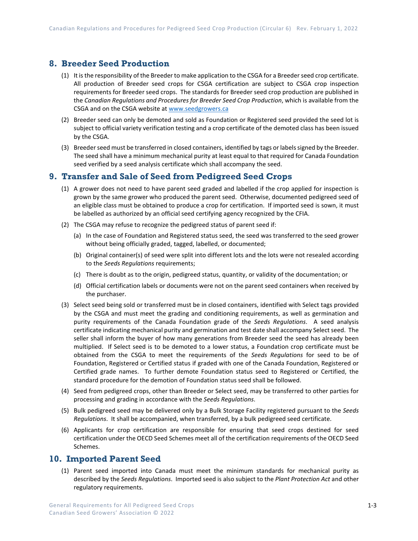# **8. Breeder Seed Production**

- (1) It is the responsibility of the Breeder to make application to the CSGA for a Breeder seed crop certificate. All production of Breeder seed crops for CSGA certification are subject to CSGA crop inspection requirements for Breeder seed crops. The standards for Breeder seed crop production are published in the *Canadian Regulations and Procedures for Breeder Seed Crop Production*, which is available from the CSGA and on the CSGA website a[t www.seedgrowers.ca](http://www.seedgrowers.ca/)
- (2) Breeder seed can only be demoted and sold as Foundation or Registered seed provided the seed lot is subject to official variety verification testing and a crop certificate of the demoted class has been issued by the CSGA.
- (3) Breeder seed must be transferred in closed containers, identified by tags or labels signed by the Breeder. The seed shall have a minimum mechanical purity at least equal to that required for Canada Foundation seed verified by a seed analysis certificate which shall accompany the seed.

# **9. Transfer and Sale of Seed from Pedigreed Seed Crops**

- (1) A grower does not need to have parent seed graded and labelled if the crop applied for inspection is grown by the same grower who produced the parent seed. Otherwise, documented pedigreed seed of an eligible class must be obtained to produce a crop for certification. If imported seed is sown, it must be labelled as authorized by an official seed certifying agency recognized by the CFIA.
- (2) The CSGA may refuse to recognize the pedigreed status of parent seed if:
	- (a) In the case of Foundation and Registered status seed, the seed was transferred to the seed grower without being officially graded, tagged, labelled, or documented;
	- (b) Original container(s) of seed were split into different lots and the lots were not resealed according to the *Seeds Regulations* requirements;
	- (c) There is doubt as to the origin, pedigreed status, quantity, or validity of the documentation; or
	- (d) Official certification labels or documents were not on the parent seed containers when received by the purchaser.
- (3) Select seed being sold or transferred must be in closed containers, identified with Select tags provided by the CSGA and must meet the grading and conditioning requirements, as well as germination and purity requirements of the Canada Foundation grade of the *Seeds Regulations*. A seed analysis certificate indicating mechanical purity and germination and test date shall accompany Select seed. The seller shall inform the buyer of how many generations from Breeder seed the seed has already been multiplied. If Select seed is to be demoted to a lower status, a Foundation crop certificate must be obtained from the CSGA to meet the requirements of the *Seeds Regulations* for seed to be of Foundation, Registered or Certified status if graded with one of the Canada Foundation, Registered or Certified grade names. To further demote Foundation status seed to Registered or Certified, the standard procedure for the demotion of Foundation status seed shall be followed.
- (4) Seed from pedigreed crops, other than Breeder or Select seed, may be transferred to other parties for processing and grading in accordance with the *Seeds Regulations*.
- (5) Bulk pedigreed seed may be delivered only by a Bulk Storage Facility registered pursuant to the *Seeds Regulations*. It shall be accompanied, when transferred, by a bulk pedigreed seed certificate.
- (6) Applicants for crop certification are responsible for ensuring that seed crops destined for seed certification under the OECD Seed Schemes meet all of the certification requirements of the OECD Seed Schemes.

### **10. Imported Parent Seed**

(1) Parent seed imported into Canada must meet the minimum standards for mechanical purity as described by the *Seeds Regulations*. Imported seed is also subject to the *Plant Protection Act* and other regulatory requirements.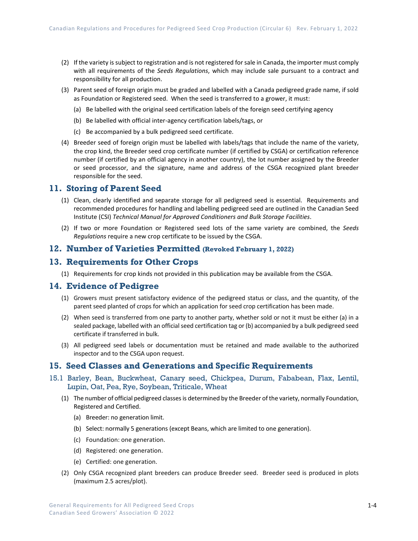- (2) If the variety is subject to registration and is not registered for sale in Canada, the importer must comply with all requirements of the *Seeds Regulations*, which may include sale pursuant to a contract and responsibility for all production.
- (3) Parent seed of foreign origin must be graded and labelled with a Canada pedigreed grade name, if sold as Foundation or Registered seed. When the seed is transferred to a grower, it must:
	- (a) Be labelled with the original seed certification labels of the foreign seed certifying agency
	- (b) Be labelled with official inter-agency certification labels/tags, or
	- (c) Be accompanied by a bulk pedigreed seed certificate.
- (4) Breeder seed of foreign origin must be labelled with labels/tags that include the name of the variety, the crop kind, the Breeder seed crop certificate number (if certified by CSGA) or certification reference number (if certified by an official agency in another country), the lot number assigned by the Breeder or seed processor, and the signature, name and address of the CSGA recognized plant breeder responsible for the seed.

#### **11. Storing of Parent Seed**

- (1) Clean, clearly identified and separate storage for all pedigreed seed is essential. Requirements and recommended procedures for handling and labelling pedigreed seed are outlined in the Canadian Seed Institute (CSI) *Technical Manual for Approved Conditioners and Bulk Storage Facilities*.
- (2) If two or more Foundation or Registered seed lots of the same variety are combined, the *Seeds Regulations* require a new crop certificate to be issued by the CSGA.

#### **12. Number of Varieties Permitted (Revoked February 1, 2022)**

#### **13. Requirements for Other Crops**

(1) Requirements for crop kinds not provided in this publication may be available from the CSGA.

#### **14. Evidence of Pedigree**

- (1) Growers must present satisfactory evidence of the pedigreed status or class, and the quantity, of the parent seed planted of crops for which an application for seed crop certification has been made.
- (2) When seed is transferred from one party to another party, whether sold or not it must be either (a) in a sealed package, labelled with an official seed certification tag or (b) accompanied by a bulk pedigreed seed certificate if transferred in bulk.
- (3) All pedigreed seed labels or documentation must be retained and made available to the authorized inspector and to the CSGA upon request.

## **15. Seed Classes and Generations and Specific Requirements**

- 15.1 Barley, Bean, Buckwheat, Canary seed, Chickpea, Durum, Fababean, Flax, Lentil, Lupin, Oat, Pea, Rye, Soybean, Triticale, Wheat
	- (1) The number of official pedigreed classes is determined by the Breeder of the variety, normally Foundation, Registered and Certified.
		- (a) Breeder: no generation limit.
		- (b) Select: normally 5 generations (except Beans, which are limited to one generation).
		- (c) Foundation: one generation.
		- (d) Registered: one generation.
		- (e) Certified: one generation.
	- (2) Only CSGA recognized plant breeders can produce Breeder seed. Breeder seed is produced in plots (maximum 2.5 acres/plot).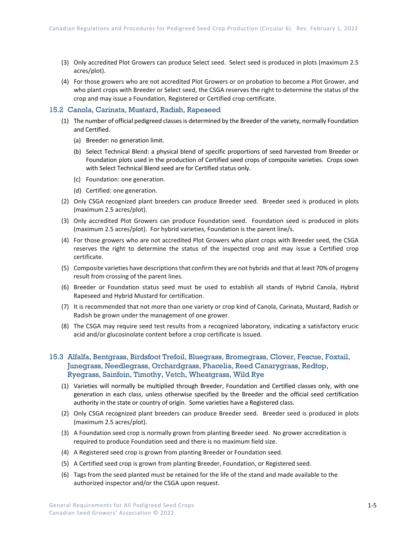- (3) Only accredited Plot Growers can produce Select seed. Select seed is produced in plots (maximum 2.5 acres/plot).
- (4) For those growers who are not accredited Plot Growers or on probation to become a Plot Grower, and who plant crops with Breeder or Select seed, the CSGA reserves the right to determine the status of the crop and may issue a Foundation, Registered or Certified crop certificate.

#### 15.2 Canola, Carinata, Mustard, Radish, Rapeseed

- (1) The number of official pedigreed classes is determined by the Breeder of the variety, normally Foundation and Certified.
	- (a) Breeder: no generation limit.
	- (b) Select Technical Blend: a physical blend of specific proportions of seed harvested from Breeder or Foundation plots used in the production of Certified seed crops of composite varieties. Crops sown with Select Technical Blend seed are for Certified status only.
	- (c) Foundation: one generation.
	- (d) Certified: one generation.
- (2) Only CSGA recognized plant breeders can produce Breeder seed. Breeder seed is produced in plots (maximum 2.5 acres/plot).
- (3) Only accredited Plot Growers can produce Foundation seed. Foundation seed is produced in plots (maximum 2.5 acres/plot). For hybrid varieties, Foundation is the parent line/s.
- (4) For those growers who are not accredited Plot Growers who plant crops with Breeder seed, the CSGA reserves the right to determine the status of the inspected crop and may issue a Certified crop certificate.
- (5) Composite varieties have descriptions that confirm they are not hybrids and that at least 70% of progeny result from crossing of the parent lines.
- (6) Breeder or Foundation status seed must be used to establish all stands of Hybrid Canola, Hybrid Rapeseed and Hybrid Mustard for certification.
- (7) It is recommended that not more than one variety or crop kind of Canola, Carinata, Mustard, Radish or Radish be grown under the management of one grower.
- (8) The CSGA may require seed test results from a recognized laboratory, indicating a satisfactory erucic acid and/or glucosinolate content before a crop certificate is issued.

#### 15.3 Alfalfa, Bentgrass, Birdsfoot Trefoil, Bluegrass, Bromegrass, Clover, Fescue, Foxtail, Junegrass, Needlegrass, Orchardgrass, Phacelia, Reed Canarygrass, Redtop, Ryegrass, Sainfoin, Timothy, Vetch, Wheatgrass, Wild Rye

- (1) Varieties will normally be multiplied through Breeder, Foundation and Certified classes only, with one generation in each class, unless otherwise specified by the Breeder and the official seed certification authority in the state or country of origin. Some varieties have a Registered class.
- (2) Only CSGA recognized plant breeders can produce Breeder seed. Breeder seed is produced in plots (maximum 2.5 acres/plot).
- (3) A Foundation seed crop is normally grown from planting Breeder seed. No grower accreditation is required to produce Foundation seed and there is no maximum field size.
- (4) A Registered seed crop is grown from planting Breeder or Foundation seed.
- (5) A Certified seed crop is grown from planting Breeder, Foundation, or Registered seed.
- (6) Tags from the seed planted must be retained for the life of the stand and made available to the authorized inspector and/or the CSGA upon request.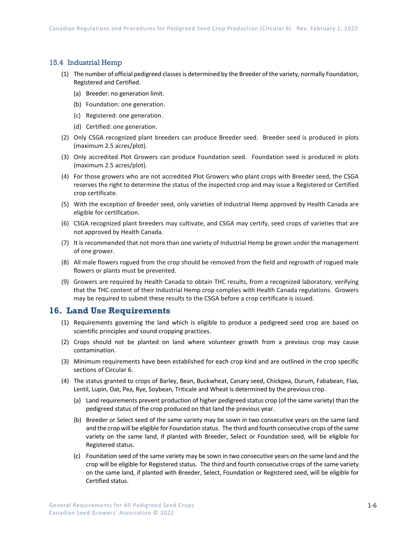#### 15.4 Industrial Hemp

- (1) The number of official pedigreed classes is determined by the Breeder of the variety, normally Foundation, Registered and Certified.
	- (a) Breeder: no generation limit.
	- (b) Foundation: one generation.
	- (c) Registered: one generation.
	- (d) Certified: one generation.
- (2) Only CSGA recognized plant breeders can produce Breeder seed. Breeder seed is produced in plots (maximum 2.5 acres/plot).
- (3) Only accredited Plot Growers can produce Foundation seed. Foundation seed is produced in plots (maximum 2.5 acres/plot).
- (4) For those growers who are not accredited Plot Growers who plant crops with Breeder seed, the CSGA reserves the right to determine the status of the inspected crop and may issue a Registered or Certified crop certificate.
- (5) With the exception of Breeder seed, only varieties of Industrial Hemp approved by Health Canada are eligible for certification.
- (6) CSGA recognized plant breeders may cultivate, and CSGA may certify, seed crops of varieties that are not approved by Health Canada.
- (7) It is recommended that not more than one variety of Industrial Hemp be grown under the management of one grower.
- (8) All male flowers rogued from the crop should be removed from the field and regrowth of rogued male flowers or plants must be prevented.
- (9) Growers are required by Health Canada to obtain THC results, from a recognized laboratory, verifying that the THC content of their Industrial Hemp crop complies with Health Canada regulations. Growers may be required to submit these results to the CSGA before a crop certificate is issued.

## **16. Land Use Requirements**

- (1) Requirements governing the land which is eligible to produce a pedigreed seed crop are based on scientific principles and sound cropping practices.
- (2) Crops should not be planted on land where volunteer growth from a previous crop may cause contamination.
- (3) Minimum requirements have been established for each crop kind and are outlined in the crop specific sections of Circular 6.
- (4) The status granted to crops of Barley, Bean, Buckwheat, Canary seed, Chickpea, Durum, Fababean, Flax, Lentil, Lupin, Oat, Pea, Rye, Soybean, Triticale and Wheat is determined by the previous crop.
	- (a) Land requirements prevent production of higher pedigreed status crop (of the same variety) than the pedigreed status of the crop produced on that land the previous year.
	- (b) Breeder or Select seed of the same variety may be sown in two consecutive years on the same land and the crop will be eligible for Foundation status. The third and fourth consecutive crops of the same variety on the same land, if planted with Breeder, Select or Foundation seed, will be eligible for Registered status.
	- (c) Foundation seed of the same variety may be sown in two consecutive years on the same land and the crop will be eligible for Registered status. The third and fourth consecutive crops of the same variety on the same land, if planted with Breeder, Select, Foundation or Registered seed, will be eligible for Certified status.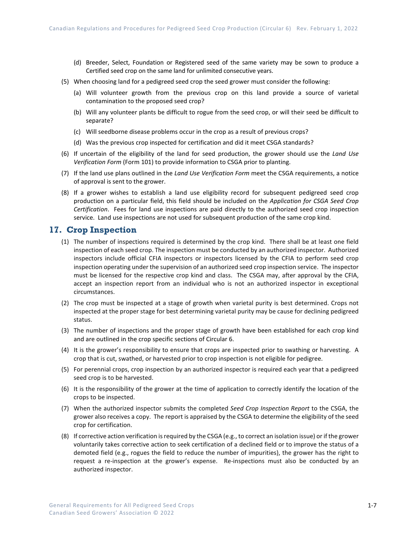- (d) Breeder, Select, Foundation or Registered seed of the same variety may be sown to produce a Certified seed crop on the same land for unlimited consecutive years.
- (5) When choosing land for a pedigreed seed crop the seed grower must consider the following:
	- (a) Will volunteer growth from the previous crop on this land provide a source of varietal contamination to the proposed seed crop?
	- (b) Will any volunteer plants be difficult to rogue from the seed crop, or will their seed be difficult to separate?
	- (c) Will seedborne disease problems occur in the crop as a result of previous crops?
	- (d) Was the previous crop inspected for certification and did it meet CSGA standards?
- (6) If uncertain of the eligibility of the land for seed production, the grower should use the *Land Use Verification Form* (Form 101) to provide information to CSGA prior to planting.
- (7) If the land use plans outlined in the *Land Use Verification Form* meet the CSGA requirements, a notice of approval is sent to the grower.
- (8) If a grower wishes to establish a land use eligibility record for subsequent pedigreed seed crop production on a particular field, this field should be included on the *Application for CSGA Seed Crop Certification*. Fees for land use inspections are paid directly to the authorized seed crop inspection service. Land use inspections are not used for subsequent production of the same crop kind.

#### **17. Crop Inspection**

- (1) The number of inspections required is determined by the crop kind. There shall be at least one field inspection of each seed crop. The inspection must be conducted by an authorized inspector. Authorized inspectors include official CFIA inspectors or inspectors licensed by the CFIA to perform seed crop inspection operating under the supervision of an authorized seed crop inspection service. The inspector must be licensed for the respective crop kind and class. The CSGA may, after approval by the CFIA, accept an inspection report from an individual who is not an authorized inspector in exceptional circumstances.
- (2) The crop must be inspected at a stage of growth when varietal purity is best determined. Crops not inspected at the proper stage for best determining varietal purity may be cause for declining pedigreed status.
- (3) The number of inspections and the proper stage of growth have been established for each crop kind and are outlined in the crop specific sections of Circular 6.
- (4) It is the grower's responsibility to ensure that crops are inspected prior to swathing or harvesting. A crop that is cut, swathed, or harvested prior to crop inspection is not eligible for pedigree.
- (5) For perennial crops, crop inspection by an authorized inspector is required each year that a pedigreed seed crop is to be harvested.
- (6) It is the responsibility of the grower at the time of application to correctly identify the location of the crops to be inspected.
- (7) When the authorized inspector submits the completed *Seed Crop Inspection Report* to the CSGA, the grower also receives a copy. The report is appraised by the CSGA to determine the eligibility of the seed crop for certification.
- (8) If corrective action verification is required by the CSGA (e.g., to correct an isolation issue) or if the grower voluntarily takes corrective action to seek certification of a declined field or to improve the status of a demoted field (e.g., rogues the field to reduce the number of impurities), the grower has the right to request a re-inspection at the grower's expense. Re-inspections must also be conducted by an authorized inspector.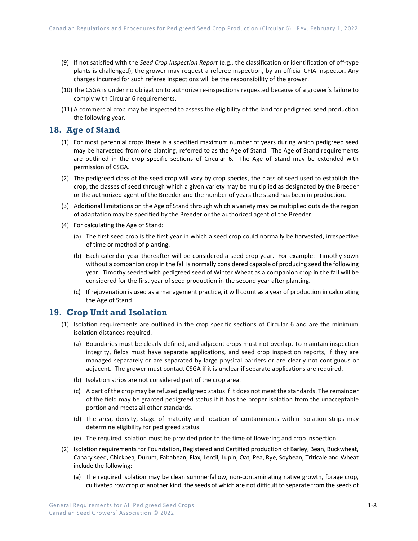- (9) If not satisfied with the *Seed Crop Inspection Report* (e.g., the classification or identification of off-type plants is challenged), the grower may request a referee inspection, by an official CFIA inspector. Any charges incurred for such referee inspections will be the responsibility of the grower.
- (10) The CSGA is under no obligation to authorize re-inspections requested because of a grower's failure to comply with Circular 6 requirements.
- (11) A commercial crop may be inspected to assess the eligibility of the land for pedigreed seed production the following year.

### **18. Age of Stand**

- (1) For most perennial crops there is a specified maximum number of years during which pedigreed seed may be harvested from one planting, referred to as the Age of Stand. The Age of Stand requirements are outlined in the crop specific sections of Circular 6. The Age of Stand may be extended with permission of CSGA.
- (2) The pedigreed class of the seed crop will vary by crop species, the class of seed used to establish the crop, the classes of seed through which a given variety may be multiplied as designated by the Breeder or the authorized agent of the Breeder and the number of years the stand has been in production.
- (3) Additional limitations on the Age of Stand through which a variety may be multiplied outside the region of adaptation may be specified by the Breeder or the authorized agent of the Breeder.
- (4) For calculating the Age of Stand:
	- (a) The first seed crop is the first year in which a seed crop could normally be harvested, irrespective of time or method of planting.
	- (b) Each calendar year thereafter will be considered a seed crop year. For example: Timothy sown without a companion crop in the fall is normally considered capable of producing seed the following year. Timothy seeded with pedigreed seed of Winter Wheat as a companion crop in the fall will be considered for the first year of seed production in the second year after planting.
	- (c) If rejuvenation is used as a management practice, it will count as a year of production in calculating the Age of Stand.

## **19. Crop Unit and Isolation**

- (1) Isolation requirements are outlined in the crop specific sections of Circular 6 and are the minimum isolation distances required.
	- (a) Boundaries must be clearly defined, and adjacent crops must not overlap. To maintain inspection integrity, fields must have separate applications, and seed crop inspection reports, if they are managed separately or are separated by large physical barriers or are clearly not contiguous or adjacent. The grower must contact CSGA if it is unclear if separate applications are required.
	- (b) Isolation strips are not considered part of the crop area.
	- (c) A part of the crop may be refused pedigreed status if it does not meet the standards. The remainder of the field may be granted pedigreed status if it has the proper isolation from the unacceptable portion and meets all other standards.
	- (d) The area, density, stage of maturity and location of contaminants within isolation strips may determine eligibility for pedigreed status.
	- (e) The required isolation must be provided prior to the time of flowering and crop inspection.
- (2) Isolation requirements for Foundation, Registered and Certified production of Barley, Bean, Buckwheat, Canary seed, Chickpea, Durum, Fababean, Flax, Lentil, Lupin, Oat, Pea, Rye, Soybean, Triticale and Wheat include the following:
	- (a) The required isolation may be clean summerfallow, non-contaminating native growth, forage crop, cultivated row crop of another kind, the seeds of which are not difficult to separate from the seeds of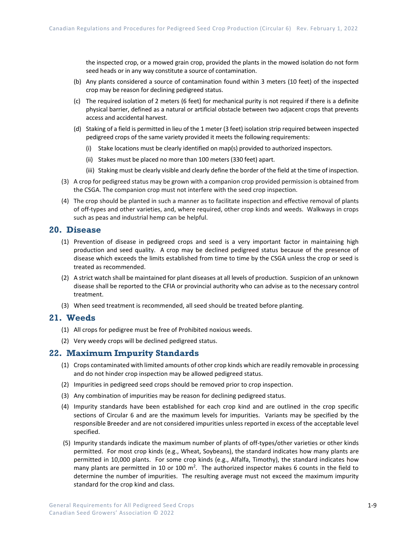the inspected crop, or a mowed grain crop, provided the plants in the mowed isolation do not form seed heads or in any way constitute a source of contamination.

- (b) Any plants considered a source of contamination found within 3 meters (10 feet) of the inspected crop may be reason for declining pedigreed status.
- (c) The required isolation of 2 meters (6 feet) for mechanical purity is not required if there is a definite physical barrier, defined as a natural or artificial obstacle between two adjacent crops that prevents access and accidental harvest.
- (d) Staking of a field is permitted in lieu of the 1 meter (3 feet) isolation strip required between inspected pedigreed crops of the same variety provided it meets the following requirements:
	- (i) Stake locations must be clearly identified on map(s) provided to authorized inspectors.
	- (ii) Stakes must be placed no more than 100 meters (330 feet) apart.
	- (iii) Staking must be clearly visible and clearly define the border of the field at the time of inspection.
- (3) A crop for pedigreed status may be grown with a companion crop provided permission is obtained from the CSGA. The companion crop must not interfere with the seed crop inspection.
- (4) The crop should be planted in such a manner as to facilitate inspection and effective removal of plants of off-types and other varieties, and, where required, other crop kinds and weeds. Walkways in crops such as peas and industrial hemp can be helpful.

#### **20. Disease**

- (1) Prevention of disease in pedigreed crops and seed is a very important factor in maintaining high production and seed quality. A crop may be declined pedigreed status because of the presence of disease which exceeds the limits established from time to time by the CSGA unless the crop or seed is treated as recommended.
- (2) A strict watch shall be maintained for plant diseases at all levels of production. Suspicion of an unknown disease shall be reported to the CFIA or provincial authority who can advise as to the necessary control treatment.
- (3) When seed treatment is recommended, all seed should be treated before planting.

# **21. Weeds**

- (1) All crops for pedigree must be free of Prohibited noxious weeds.
- (2) Very weedy crops will be declined pedigreed status.

## **22. Maximum Impurity Standards**

- (1) Crops contaminated with limited amounts of other crop kinds which are readily removable in processing and do not hinder crop inspection may be allowed pedigreed status.
- (2) Impurities in pedigreed seed crops should be removed prior to crop inspection.
- (3) Any combination of impurities may be reason for declining pedigreed status.
- (4) Impurity standards have been established for each crop kind and are outlined in the crop specific sections of Circular 6 and are the maximum levels for impurities. Variants may be specified by the responsible Breeder and are not considered impurities unless reported in excess of the acceptable level specified.
- (5) Impurity standards indicate the maximum number of plants of off-types/other varieties or other kinds permitted. For most crop kinds (e.g., Wheat, Soybeans), the standard indicates how many plants are permitted in 10,000 plants. For some crop kinds (e.g., Alfalfa, Timothy), the standard indicates how many plants are permitted in 10 or 100  $m^2$ . The authorized inspector makes 6 counts in the field to determine the number of impurities. The resulting average must not exceed the maximum impurity standard for the crop kind and class.